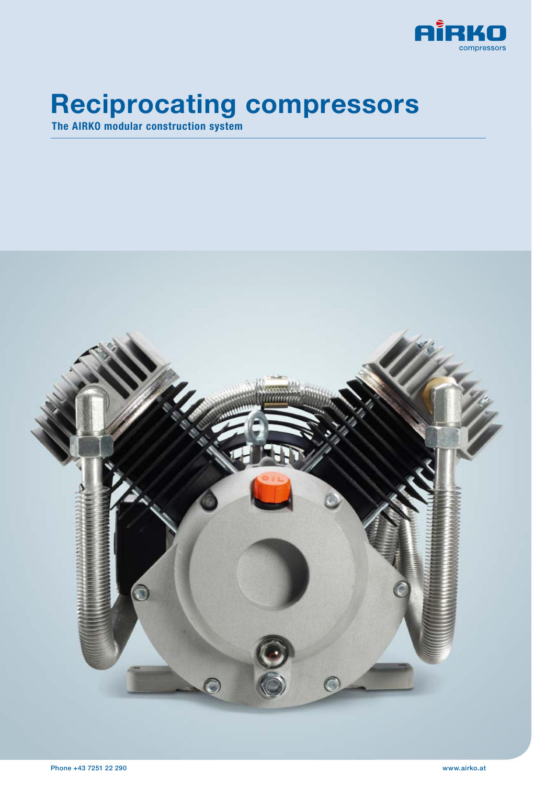

The AIRKO modular construction system

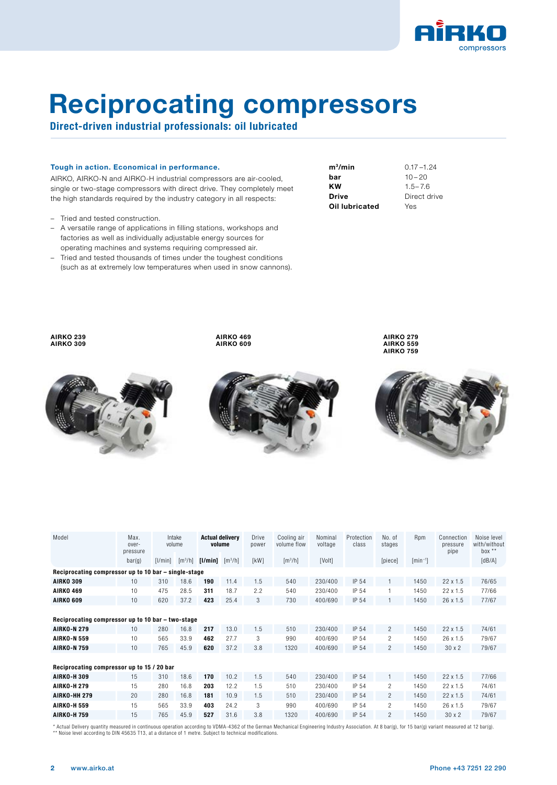

Direct-driven industrial professionals: oil lubricated

### Tough in action. Economical in performance.

AIRKO, AIRKO-N and AIRKO-H industrial compressors are air-cooled, single or two-stage compressors with direct drive. They completely meet the high standards required by the industry category in all respects:

- Tried and tested construction.
- A versatile range of applications in filling stations, workshops and factories as well as individually adjustable energy sources for operating machines and systems requiring compressed air.
- Tried and tested thousands of times under the toughest conditions (such as at extremely low temperatures when used in snow cannons).

| $\mathsf{m}^3/\mathsf{min}$ | $0.17 - 1.24$ |
|-----------------------------|---------------|
| bar                         | $10 - 20$     |
| κw                          | $1.5 - 7.6$   |
| Drive                       | Direct drive  |
| Oil lubricated              | Yes           |
|                             |               |

AIRKO 239 AIRKO 309 AIRKO 469 AIRKO 609





AIRKO 279 AIRKO 559 AIRKO 759



| Model                                                | Max.<br>Intake<br>volume<br>over-<br>pressure     |         |                              | <b>Actual delivery</b><br>volume |                       | Drive<br>power | Cooling air<br>volume flow   | Nominal<br>voltage | Protection<br>class | No. of<br>stages | Rpm          | Connection<br>pressure<br>pipe | Noise level<br>with/without<br>box ** |
|------------------------------------------------------|---------------------------------------------------|---------|------------------------------|----------------------------------|-----------------------|----------------|------------------------------|--------------------|---------------------|------------------|--------------|--------------------------------|---------------------------------------|
|                                                      | bar(g)                                            | [1/min] | $\left[\frac{m^3}{h}\right]$ | [1/min]                          | $\lceil m^3/h \rceil$ | [kW]           | $\left[\frac{m^3}{h}\right]$ | [Volt]             |                     | [piece]          | $[min^{-1}]$ |                                | [dB/A]                                |
| Reciprocating compressor up to 10 bar - single-stage |                                                   |         |                              |                                  |                       |                |                              |                    |                     |                  |              |                                |                                       |
| <b>AIRKO 309</b>                                     | 10                                                | 310     | 18.6                         | 190                              | 11.4                  | 1.5            | 540                          | 230/400            | IP 54               | $\mathbf{1}$     | 1450         | 22 x 1.5                       | 76/65                                 |
| <b>AIRKO 469</b>                                     | 10                                                | 475     | 28.5                         | 311                              | 18.7                  | 2.2            | 540                          | 230/400            | IP 54               |                  | 1450         | 22 x 1.5                       | 77/66                                 |
| <b>AIRKO 609</b>                                     | 10                                                | 620     | 37.2                         | 423                              | 25.4                  | 3              | 730                          | 400/690            | IP 54               |                  | 1450         | 26 x 1.5                       | 77/67                                 |
|                                                      |                                                   |         |                              |                                  |                       |                |                              |                    |                     |                  |              |                                |                                       |
|                                                      | Reciprocating compressor up to 10 bar - two-stage |         |                              |                                  |                       |                |                              |                    |                     |                  |              |                                |                                       |
| <b>AIRKO-N 279</b>                                   | 10                                                | 280     | 16.8                         | 217                              | 13.0                  | 1.5            | 510                          | 230/400            | IP 54               | $\overline{c}$   | 1450         | 22 x 1.5                       | 74/61                                 |
| <b>AIRKO-N 559</b>                                   | 10                                                | 565     | 33.9                         | 462                              | 27.7                  | 3              | 990                          | 400/690            | IP 54               | $\overline{c}$   | 1450         | 26 x 1.5                       | 79/67                                 |
| <b>AIRKO-N 759</b>                                   | 10                                                | 765     | 45.9                         | 620                              | 37.2                  | 3.8            | 1320                         | 400/690            | IP 54               | $\overline{c}$   | 1450         | 30x2                           | 79/67                                 |
|                                                      |                                                   |         |                              |                                  |                       |                |                              |                    |                     |                  |              |                                |                                       |
| Reciprocating compressor up to 15 / 20 bar           |                                                   |         |                              |                                  |                       |                |                              |                    |                     |                  |              |                                |                                       |
| <b>AIRKO-H309</b>                                    | 15                                                | 310     | 18.6                         | 170                              | 10.2                  | 1.5            | 540                          | 230/400            | IP 54               | 1                | 1450         | $22 \times 1.5$                | 77/66                                 |
| <b>AIRKO-H 279</b>                                   | 15                                                | 280     | 16.8                         | 203                              | 12.2                  | 1.5            | 510                          | 230/400            | IP 54               | $\overline{c}$   | 1450         | 22 x 1.5                       | 74/61                                 |
| <b>AIRKO-HH 279</b>                                  | 20                                                | 280     | 16.8                         | 181                              | 10.9                  | 1.5            | 510                          | 230/400            | IP 54               | $\overline{c}$   | 1450         | $22 \times 1.5$                | 74/61                                 |
| <b>AIRKO-H 559</b>                                   | 15                                                | 565     | 33.9                         | 403                              | 24.2                  | 3              | 990                          | 400/690            | IP 54               | $\overline{c}$   | 1450         | 26 x 1.5                       | 79/67                                 |
| <b>AIRKO-H 759</b>                                   | 15                                                | 765     | 45.9                         | 527                              | 31.6                  | 3.8            | 1320                         | 400/690            | IP 54               | $\overline{c}$   | 1450         | 30x2                           | 79/67                                 |

\* Actual Delivery quantity measured in continuous operation according to VDMA-4362 of the German Mechanical Engineering Industry Association. At 8 bar(g), for 15 bar(g) variant measured at 12 bar(g), for 15 bar(a).<br>\*\* Nois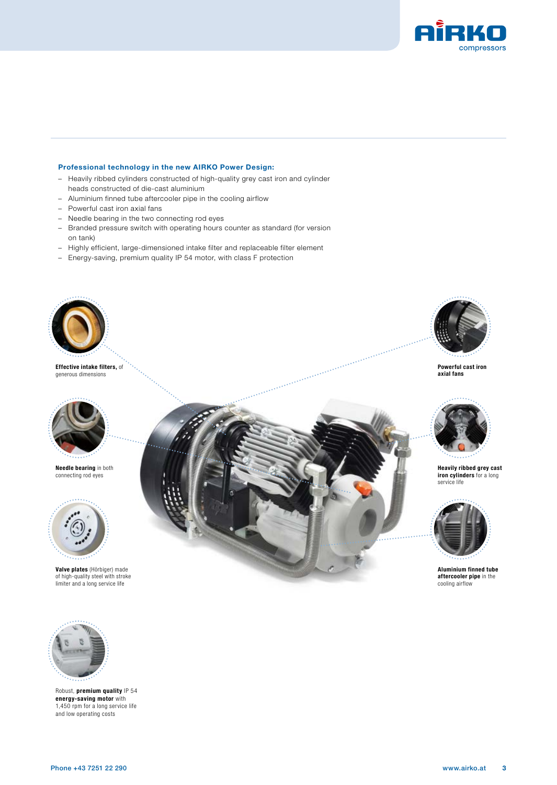

### Professional technology in the new AIRKO Power Design:

- Heavily ribbed cylinders constructed of high-quality grey cast iron and cylinder heads constructed of die-cast aluminium
- Aluminium finned tube aftercooler pipe in the cooling airflow
- Powerful cast iron axial fans
- Needle bearing in the two connecting rod eyes
- Branded pressure switch with operating hours counter as standard (for version on tank)
- Highly efficient, large-dimensioned intake filter and replaceable filter element
- Energy-saving, premium quality IP 54 motor, with class F protection



Effective intake filters, of generous dimensions



Needle bearing in both connecting rod eyes



**Valve plates** (Hörbiger) made<br>of high-quality steel with stroke<br>limiter and a long service life



Robust, premium quality IP 54 energy-saving motor with 1,450 rpm for a long service life and low operating costs





Powerful cast iron axial fans



Heavily ribbed grey cast iron cylinders for a long service life



Aluminium finned tube aftercooler pipe in the cooling airflow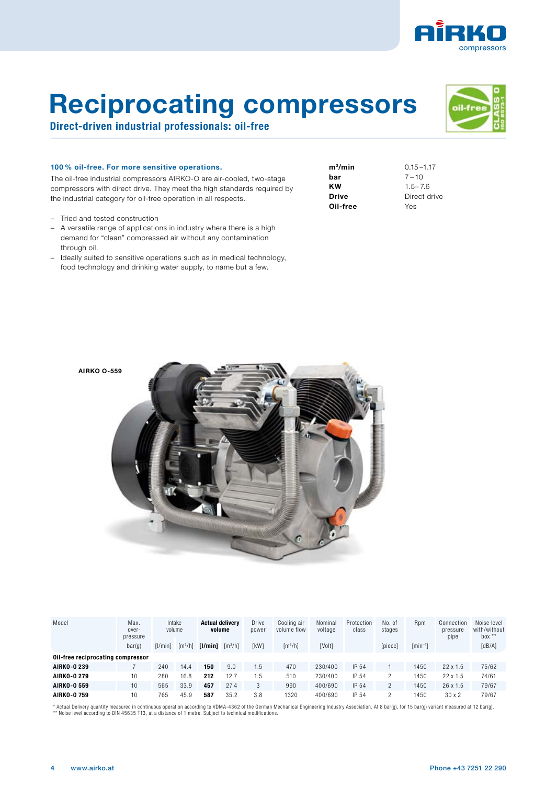

Direct-driven industrial professionals: oil-free

### 100 % oil-free. For more sensitive operations.

The oil-free industrial compressors AIRKO-O are air-cooled, two-stage compressors with direct drive. They meet the high standards required by the industrial category for oil-free operation in all respects.

- Tried and tested construction
- A versatile range of applications in industry where there is a high demand for "clean" compressed air without any contamination through oil.
- Ideally suited to sensitive operations such as in medical technology, food technology and drinking water supply, to name but a few.

| m $^3\!/\mathrm{min}$ |  |
|-----------------------|--|
| bar                   |  |
| κw                    |  |
| Drive                 |  |
| Oil-free              |  |
|                       |  |





| Model                             | Max.<br>over-<br>pressure<br>bar(g) | $I/M$ inl | Intake<br>volume<br>$\left[\frac{m^3}{h}\right]$ | <b>Actual delivery</b><br>volume<br>[1/min]<br>$\left[\frac{m^3}{h}\right]$ |      | Drive<br>power<br>[kW] | Cooling air<br>volume flow<br>$\left[\frac{m^3}{h}\right]$ | Nominal<br>voltage<br>[Volt] | Protection<br>class | No. of<br>stages<br>[piece] | <b>R</b> pm<br>$[min^{-1}]$ | Connection<br>pressure<br>pipe | Noise level<br>with/without<br>$box**$<br>[dB/A] |
|-----------------------------------|-------------------------------------|-----------|--------------------------------------------------|-----------------------------------------------------------------------------|------|------------------------|------------------------------------------------------------|------------------------------|---------------------|-----------------------------|-----------------------------|--------------------------------|--------------------------------------------------|
| Oil-free reciprocating compressor |                                     |           |                                                  |                                                                             |      |                        |                                                            |                              |                     |                             |                             |                                |                                                  |
| <b>AIRKO-0239</b>                 |                                     | 240       | 14.4                                             | 150                                                                         | 9.0  | .5                     | 470                                                        | 230/400                      | IP 54               |                             | 1450                        | $22 \times 1.5$                | 75/62                                            |
| <b>AIRKO-0279</b>                 | 10                                  | 280       | 16.8                                             | 212                                                                         | 12.7 | 5.،                    | 510                                                        | 230/400                      | IP 54               | っ                           | 1450                        | 22 x 1.5                       | 74/61                                            |
| <b>AIRKO-0559</b>                 | 10                                  | 565       | 33.9                                             | 457                                                                         | 27.4 | 3                      | 990                                                        | 400/690                      | IP 54               | 2                           | 1450                        | $26 \times 1.5$                | 79/67                                            |
| <b>AIRKO-0759</b>                 | 10                                  | 765       | 45.9                                             | 587                                                                         | 35.2 | 3.8                    | 1320                                                       | 400/690                      | IP 54               | っ                           | 1450                        | 30x2                           | 79/67                                            |

\* Actual Delivery quantity measured in continuous operation according to VDMA-4362 of the German Mechanical Engineering Industry Association. At 8 bar(g), for 15 bar(g) variant measured at 12 bar(g).<br>\*\* Noise level accordi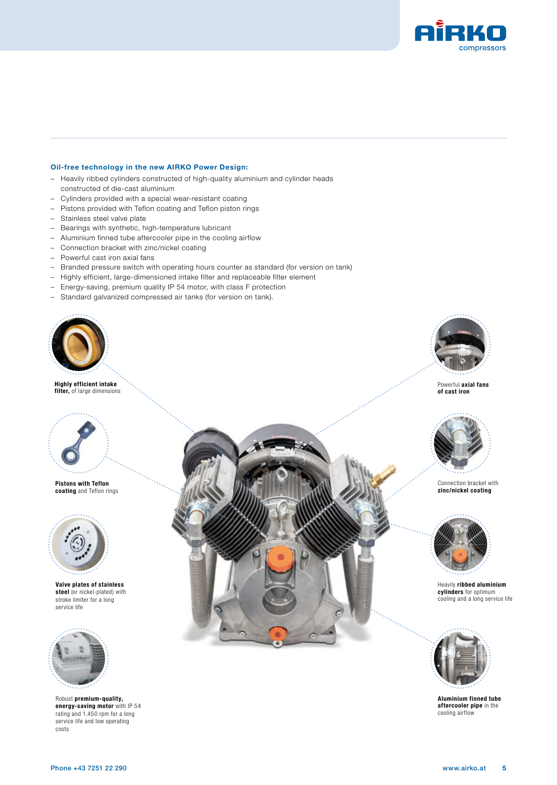

#### Oil-free technology in the new AIRKO Power Design:

- Heavily ribbed cylinders constructed of high-quality aluminium and cylinder heads constructed of die-cast aluminium
- Cylinders provided with a special wear-resistant coating
- Pistons provided with Teflon coating and Teflon piston rings
- Stainless steel valve plate
- Bearings with synthetic, high-temperature lubricant
- Aluminium finned tube aftercooler pipe in the cooling airflow
- Connection bracket with zinc/nickel coating
- Powerful cast iron axial fans
- Branded pressure switch with operating hours counter as standard (for version on tank)
- Highly efficient, large-dimensioned intake filter and replaceable filter element
- Energy-saving, premium quality IP 54 motor, with class F protection
- Standard galvanized compressed air tanks (for version on tank).



Highly efficient intake filter, of large dimensions



Pistons with Teflon coating and Teflon rings



Valve plates of stainless steel (or nickel-plated) with stroke limiter for a long service life



Robust premium-quality, energy-saving motor with IP 54 rating and 1,450 rpm for a long service life and low operating costs





Powerful axial fans of cast iron



Connection bracket with zinc/nickel coating



Heavily ribbed aluminium cylinders for optimum cooling and a long service life



Aluminium finned tube aftercooler pipe in the cooling airflow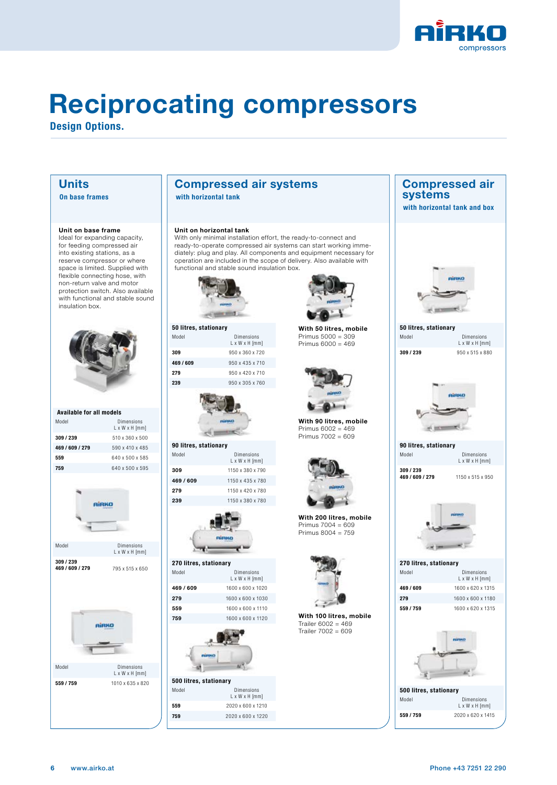

Design Options.